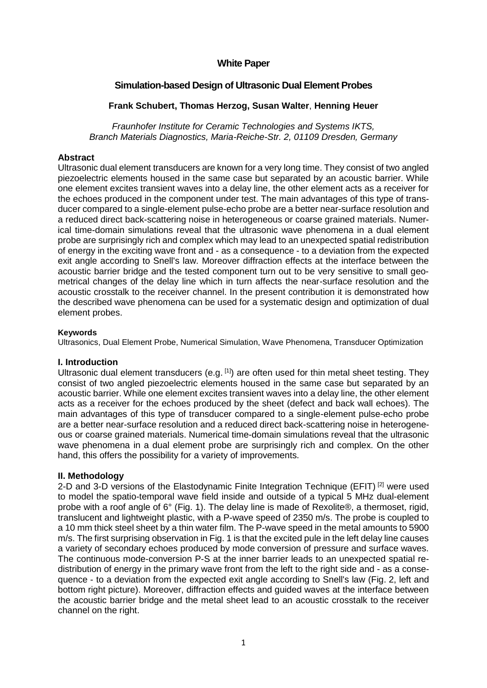## **White Paper**

# **Simulation-based Design of Ultrasonic Dual Element Probes**

## **Frank Schubert, Thomas Herzog, Susan Walter**, **Henning Heuer**

*Fraunhofer Institute for Ceramic Technologies and Systems IKTS, Branch Materials Diagnostics, Maria-Reiche-Str. 2, 01109 Dresden, Germany*

## **Abstract**

Ultrasonic dual element transducers are known for a very long time. They consist of two angled piezoelectric elements housed in the same case but separated by an acoustic barrier. While one element excites transient waves into a delay line, the other element acts as a receiver for the echoes produced in the component under test. The main advantages of this type of transducer compared to a single-element pulse-echo probe are a better near-surface resolution and a reduced direct back-scattering noise in heterogeneous or coarse grained materials. Numerical time-domain simulations reveal that the ultrasonic wave phenomena in a dual element probe are surprisingly rich and complex which may lead to an unexpected spatial redistribution of energy in the exciting wave front and - as a consequence - to a deviation from the expected exit angle according to Snell's law. Moreover diffraction effects at the interface between the acoustic barrier bridge and the tested component turn out to be very sensitive to small geometrical changes of the delay line which in turn affects the near-surface resolution and the acoustic crosstalk to the receiver channel. In the present contribution it is demonstrated how the described wave phenomena can be used for a systematic design and optimization of dual element probes.

#### **Keywords**

Ultrasonics, Dual Element Probe, Numerical Simulation, Wave Phenomena, Transducer Optimization

#### **I. Introduction**

Ultrasonic dual element transducers (e.g.  $[1]$ ) are often used for thin metal sheet testing. They consist of two angled piezoelectric elements housed in the same case but separated by an acoustic barrier. While one element excites transient waves into a delay line, the other element acts as a receiver for the echoes produced by the sheet (defect and back wall echoes). The main advantages of this type of transducer compared to a single-element pulse-echo probe are a better near-surface resolution and a reduced direct back-scattering noise in heterogeneous or coarse grained materials. Numerical time-domain simulations reveal that the ultrasonic wave phenomena in a dual element probe are surprisingly rich and complex. On the other hand, this offers the possibility for a variety of improvements.

## **II. Methodology**

2-D and 3-D versions of the Elastodynamic Finite Integration Technique (EFIT) <sup>[2]</sup> were used to model the spatio-temporal wave field inside and outside of a typical 5 MHz dual-element probe with a roof angle of 6° (Fig. 1). The delay line is made of Rexolite®, a thermoset, rigid, translucent and lightweight plastic, with a P-wave speed of 2350 m/s. The probe is coupled to a 10 mm thick steel sheet by a thin water film. The P-wave speed in the metal amounts to 5900 m/s. The first surprising observation in Fig. 1 is that the excited pule in the left delay line causes a variety of secondary echoes produced by mode conversion of pressure and surface waves. The continuous mode-conversion P-S at the inner barrier leads to an unexpected spatial redistribution of energy in the primary wave front from the left to the right side and - as a consequence - to a deviation from the expected exit angle according to Snell's law (Fig. 2, left and bottom right picture). Moreover, diffraction effects and guided waves at the interface between the acoustic barrier bridge and the metal sheet lead to an acoustic crosstalk to the receiver channel on the right.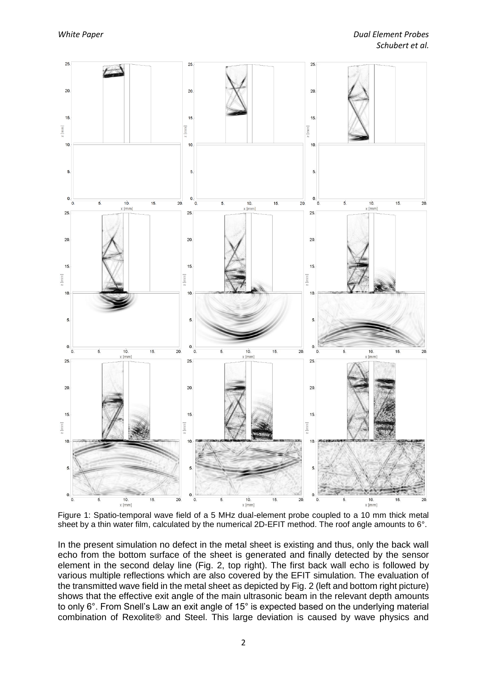

Figure 1: Spatio-temporal wave field of a 5 MHz dual-element probe coupled to a 10 mm thick metal sheet by a thin water film, calculated by the numerical 2D-EFIT method. The roof angle amounts to 6°.

In the present simulation no defect in the metal sheet is existing and thus, only the back wall echo from the bottom surface of the sheet is generated and finally detected by the sensor element in the second delay line (Fig. 2, top right). The first back wall echo is followed by various multiple reflections which are also covered by the EFIT simulation. The evaluation of the transmitted wave field in the metal sheet as depicted by Fig. 2 (left and bottom right picture) shows that the effective exit angle of the main ultrasonic beam in the relevant depth amounts to only 6°. From Snell's Law an exit angle of 15° is expected based on the underlying material combination of Rexolite® and Steel. This large deviation is caused by wave physics and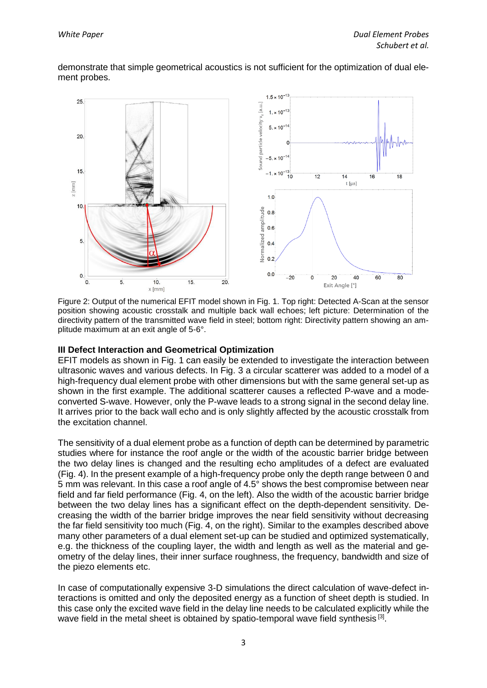demonstrate that simple geometrical acoustics is not sufficient for the optimization of dual element probes.



Figure 2: Output of the numerical EFIT model shown in Fig. 1. Top right: Detected A-Scan at the sensor position showing acoustic crosstalk and multiple back wall echoes; left picture: Determination of the directivity pattern of the transmitted wave field in steel; bottom right: Directivity pattern showing an amplitude maximum at an exit angle of 5-6°.

## **III Defect Interaction and Geometrical Optimization**

EFIT models as shown in Fig. 1 can easily be extended to investigate the interaction between ultrasonic waves and various defects. In Fig. 3 a circular scatterer was added to a model of a high-frequency dual element probe with other dimensions but with the same general set-up as shown in the first example. The additional scatterer causes a reflected P-wave and a modeconverted S-wave. However, only the P-wave leads to a strong signal in the second delay line. It arrives prior to the back wall echo and is only slightly affected by the acoustic crosstalk from the excitation channel.

The sensitivity of a dual element probe as a function of depth can be determined by parametric studies where for instance the roof angle or the width of the acoustic barrier bridge between the two delay lines is changed and the resulting echo amplitudes of a defect are evaluated (Fig. 4). In the present example of a high-frequency probe only the depth range between 0 and 5 mm was relevant. In this case a roof angle of 4.5° shows the best compromise between near field and far field performance (Fig. 4, on the left). Also the width of the acoustic barrier bridge between the two delay lines has a significant effect on the depth-dependent sensitivity. Decreasing the width of the barrier bridge improves the near field sensitivity without decreasing the far field sensitivity too much (Fig. 4, on the right). Similar to the examples described above many other parameters of a dual element set-up can be studied and optimized systematically, e.g. the thickness of the coupling layer, the width and length as well as the material and geometry of the delay lines, their inner surface roughness, the frequency, bandwidth and size of the piezo elements etc.

In case of computationally expensive 3-D simulations the direct calculation of wave-defect interactions is omitted and only the deposited energy as a function of sheet depth is studied. In this case only the excited wave field in the delay line needs to be calculated explicitly while the wave field in the metal sheet is obtained by spatio-temporal wave field synthesis<sup>[3]</sup>.